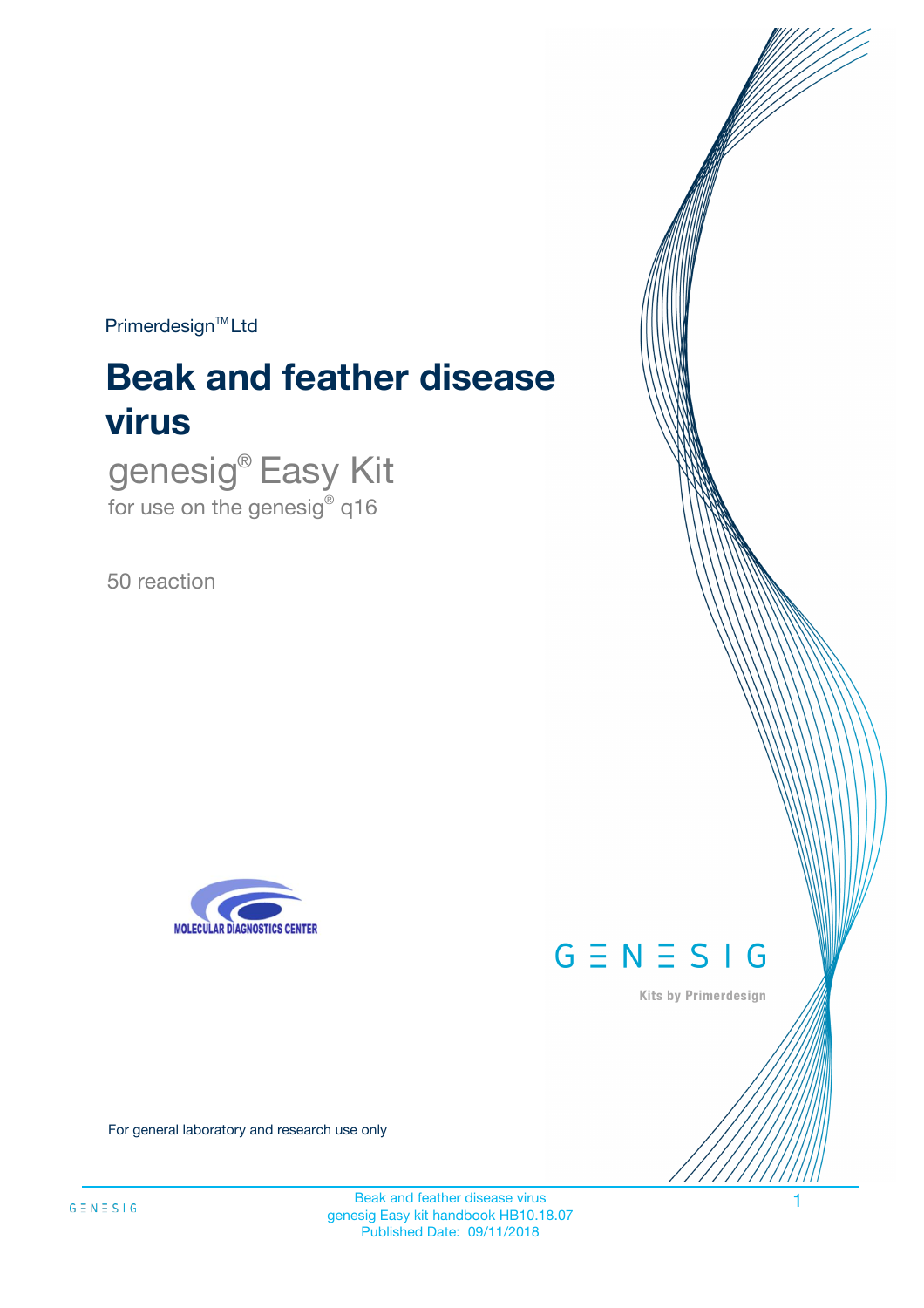$Primerdesign^{\text{TM}}Ltd$ 

# **Beak and feather disease virus**

genesig® Easy Kit for use on the genesig® q16

50 reaction





Kits by Primerdesign

For general laboratory and research use only

Beak and feather disease virus genesig Easy kit handbook HB10.18.07 Published Date: 09/11/2018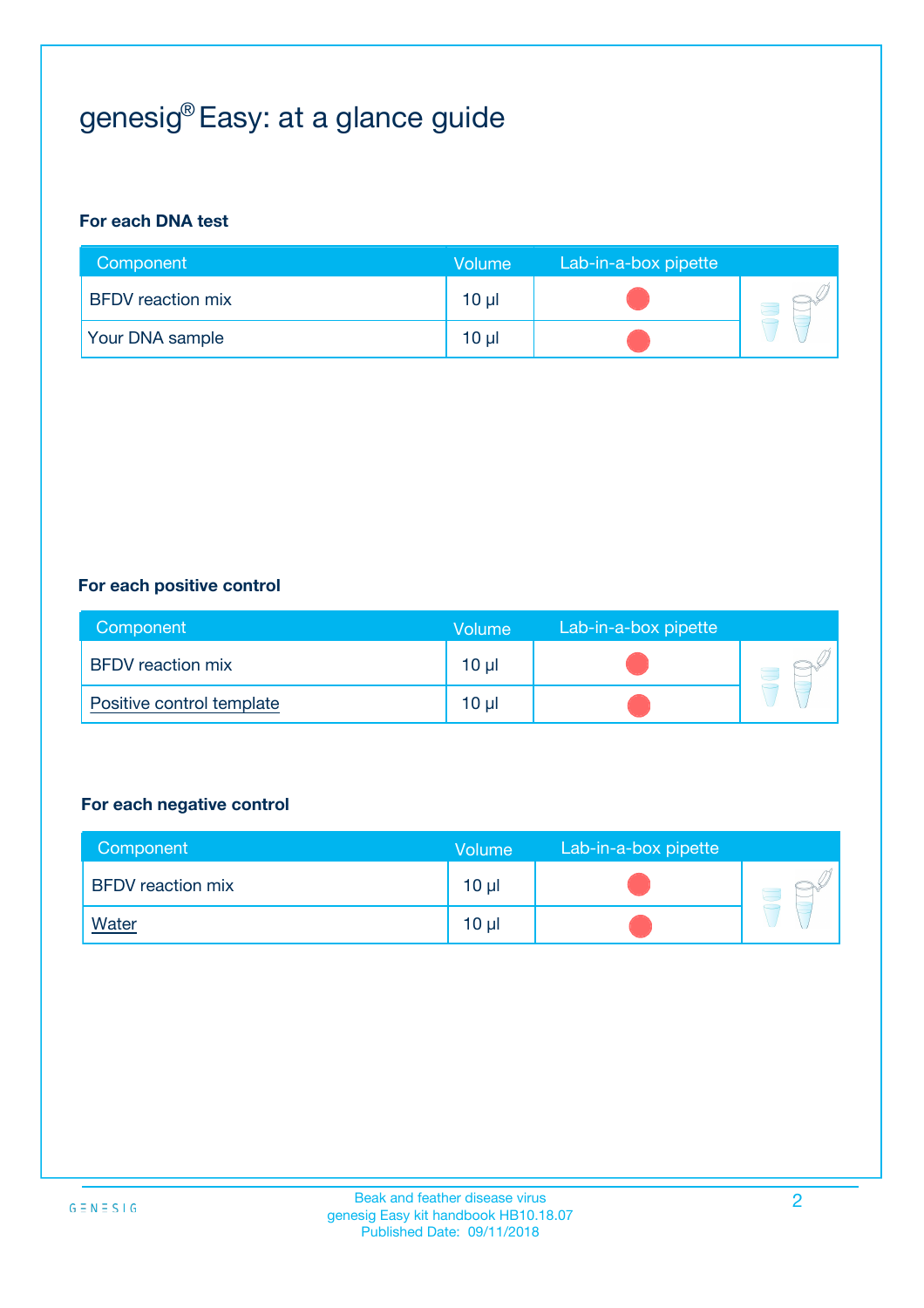# genesig® Easy: at a glance guide

#### **For each DNA test**

| Component                | <b>Volume</b>   | Lab-in-a-box pipette |  |
|--------------------------|-----------------|----------------------|--|
| <b>BFDV</b> reaction mix | 10 µl           |                      |  |
| <b>Your DNA sample</b>   | 10 <sub>µ</sub> |                      |  |

#### **For each positive control**

| Component                 | Volume          | Lab-in-a-box pipette |  |
|---------------------------|-----------------|----------------------|--|
| <b>BFDV</b> reaction mix  | 10 <sub>µ</sub> |                      |  |
| Positive control template | 10 <sub>µ</sub> |                      |  |

#### **For each negative control**

| Component                | <b>Volume</b>   | Lab-in-a-box pipette |  |
|--------------------------|-----------------|----------------------|--|
| <b>BFDV</b> reaction mix | 10 <sub>µ</sub> |                      |  |
| <u>Water</u>             | 10 <sub>µ</sub> |                      |  |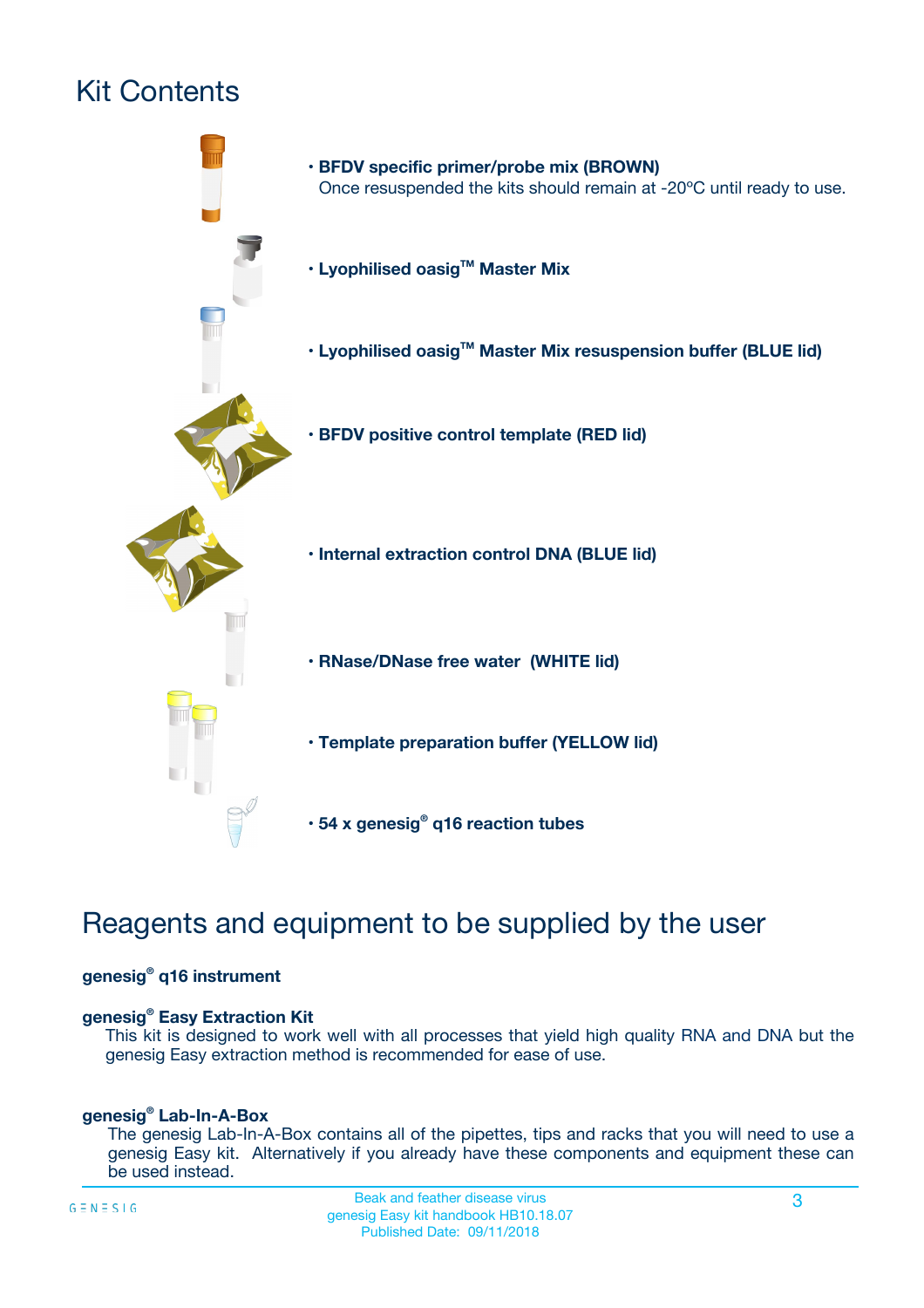# Kit Contents



## Reagents and equipment to be supplied by the user

#### **genesig® q16 instrument**

#### **genesig® Easy Extraction Kit**

This kit is designed to work well with all processes that yield high quality RNA and DNA but the genesig Easy extraction method is recommended for ease of use.

#### **genesig® Lab-In-A-Box**

The genesig Lab-In-A-Box contains all of the pipettes, tips and racks that you will need to use a genesig Easy kit. Alternatively if you already have these components and equipment these can be used instead.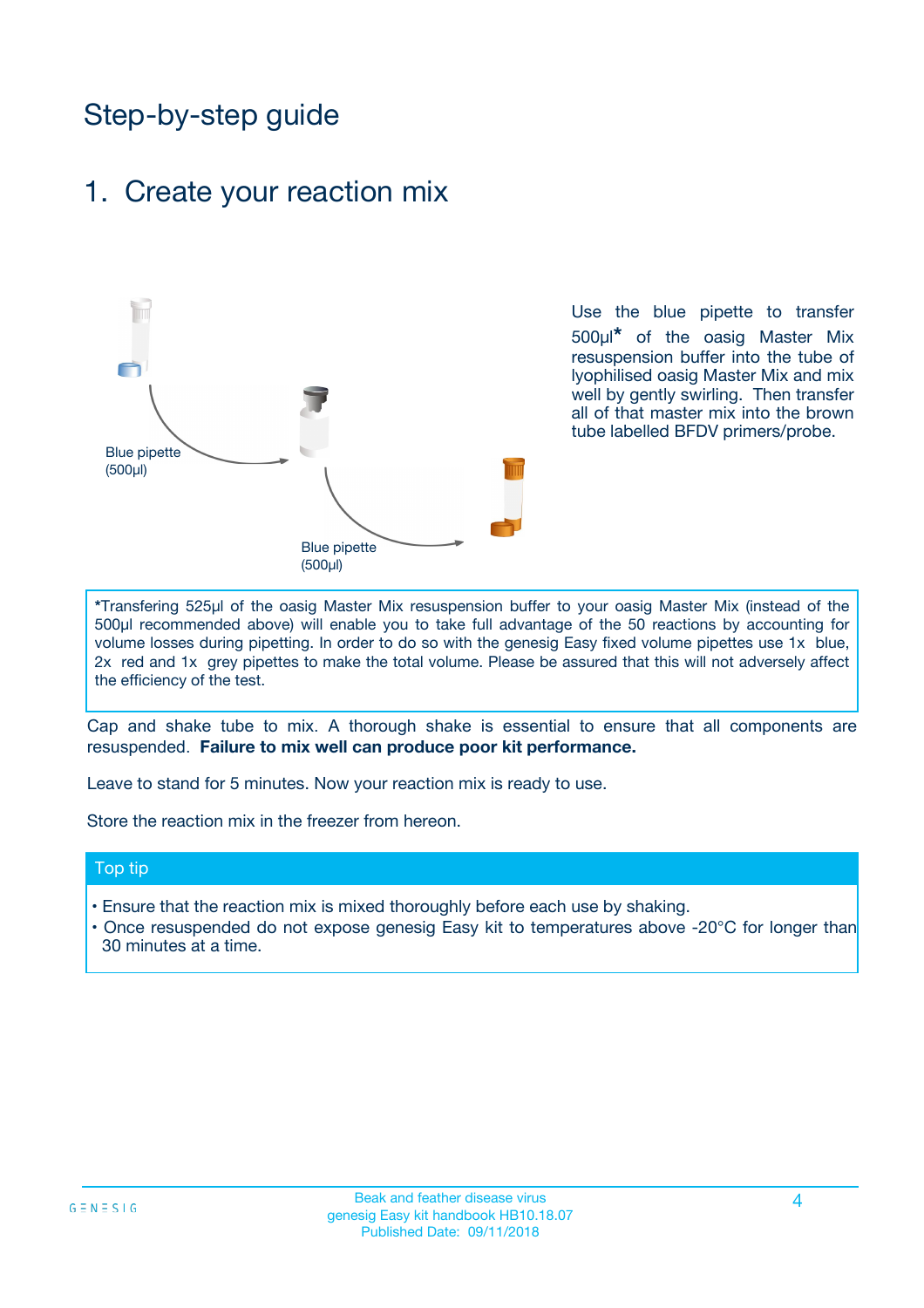## Step-by-step guide

### 1. Create your reaction mix



Use the blue pipette to transfer 500µl**\*** of the oasig Master Mix resuspension buffer into the tube of lyophilised oasig Master Mix and mix well by gently swirling. Then transfer all of that master mix into the brown tube labelled BFDV primers/probe.

**\***Transfering 525µl of the oasig Master Mix resuspension buffer to your oasig Master Mix (instead of the 500µl recommended above) will enable you to take full advantage of the 50 reactions by accounting for volume losses during pipetting. In order to do so with the genesig Easy fixed volume pipettes use 1x blue, 2x red and 1x grey pipettes to make the total volume. Please be assured that this will not adversely affect the efficiency of the test.

Cap and shake tube to mix. A thorough shake is essential to ensure that all components are resuspended. **Failure to mix well can produce poor kit performance.**

Leave to stand for 5 minutes. Now your reaction mix is ready to use.

Store the reaction mix in the freezer from hereon.

#### Top tip

- Ensure that the reaction mix is mixed thoroughly before each use by shaking.
- **•** Once resuspended do not expose genesig Easy kit to temperatures above -20°C for longer than 30 minutes at a time.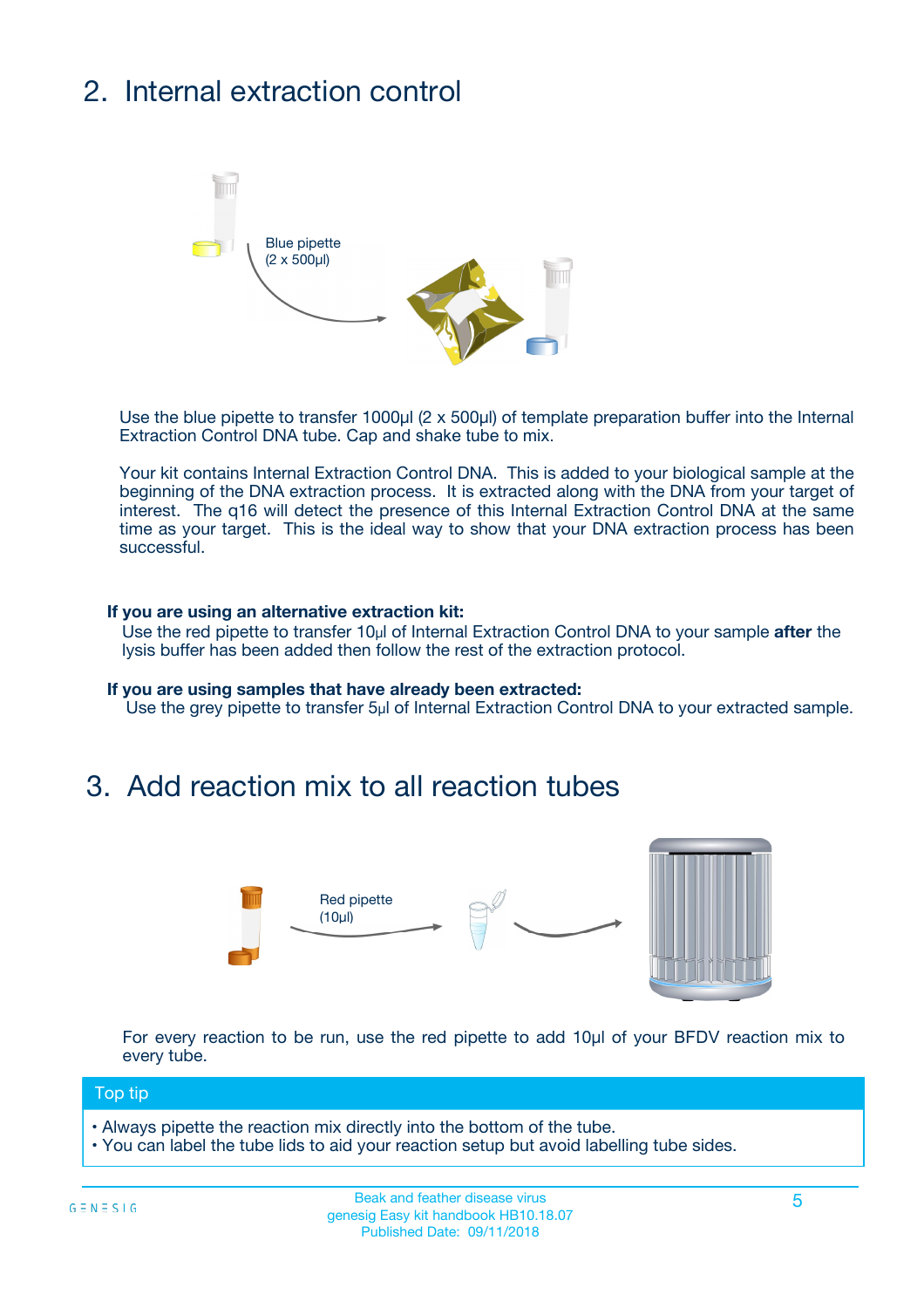# 2. Internal extraction control



Use the blue pipette to transfer 1000µl (2 x 500µl) of template preparation buffer into the Internal Extraction Control DNA tube. Cap and shake tube to mix.

Your kit contains Internal Extraction Control DNA. This is added to your biological sample at the beginning of the DNA extraction process. It is extracted along with the DNA from your target of interest. The q16 will detect the presence of this Internal Extraction Control DNA at the same time as your target. This is the ideal way to show that your DNA extraction process has been successful.

#### **If you are using an alternative extraction kit:**

Use the red pipette to transfer 10µl of Internal Extraction Control DNA to your sample **after** the lysis buffer has been added then follow the rest of the extraction protocol.

#### **If you are using samples that have already been extracted:**

Use the grey pipette to transfer 5µl of Internal Extraction Control DNA to your extracted sample.

### 3. Add reaction mix to all reaction tubes



For every reaction to be run, use the red pipette to add 10µl of your BFDV reaction mix to every tube.

#### Top tip

- Always pipette the reaction mix directly into the bottom of the tube.
- You can label the tube lids to aid your reaction setup but avoid labelling tube sides.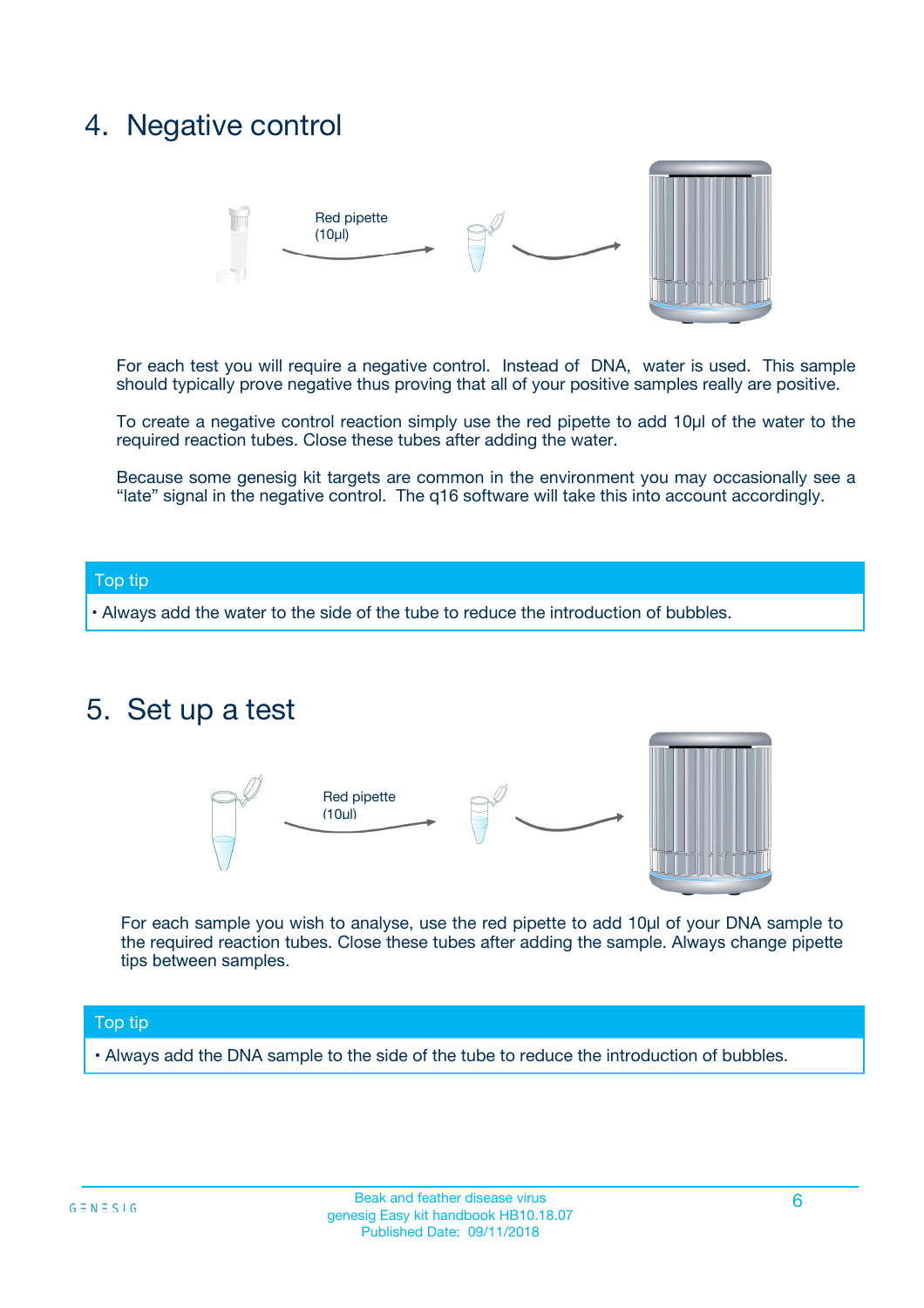## 4. Negative control



For each test you will require a negative control. Instead of DNA, water is used. This sample should typically prove negative thus proving that all of your positive samples really are positive.

To create a negative control reaction simply use the red pipette to add 10µl of the water to the required reaction tubes. Close these tubes after adding the water.

Because some genesig kit targets are common in the environment you may occasionally see a "late" signal in the negative control. The q16 software will take this into account accordingly.

#### Top tip

**•** Always add the water to the side of the tube to reduce the introduction of bubbles.

### 5. Set up a test



For each sample you wish to analyse, use the red pipette to add 10µl of your DNA sample to the required reaction tubes. Close these tubes after adding the sample. Always change pipette tips between samples.

#### Top tip

**•** Always add the DNA sample to the side of the tube to reduce the introduction of bubbles.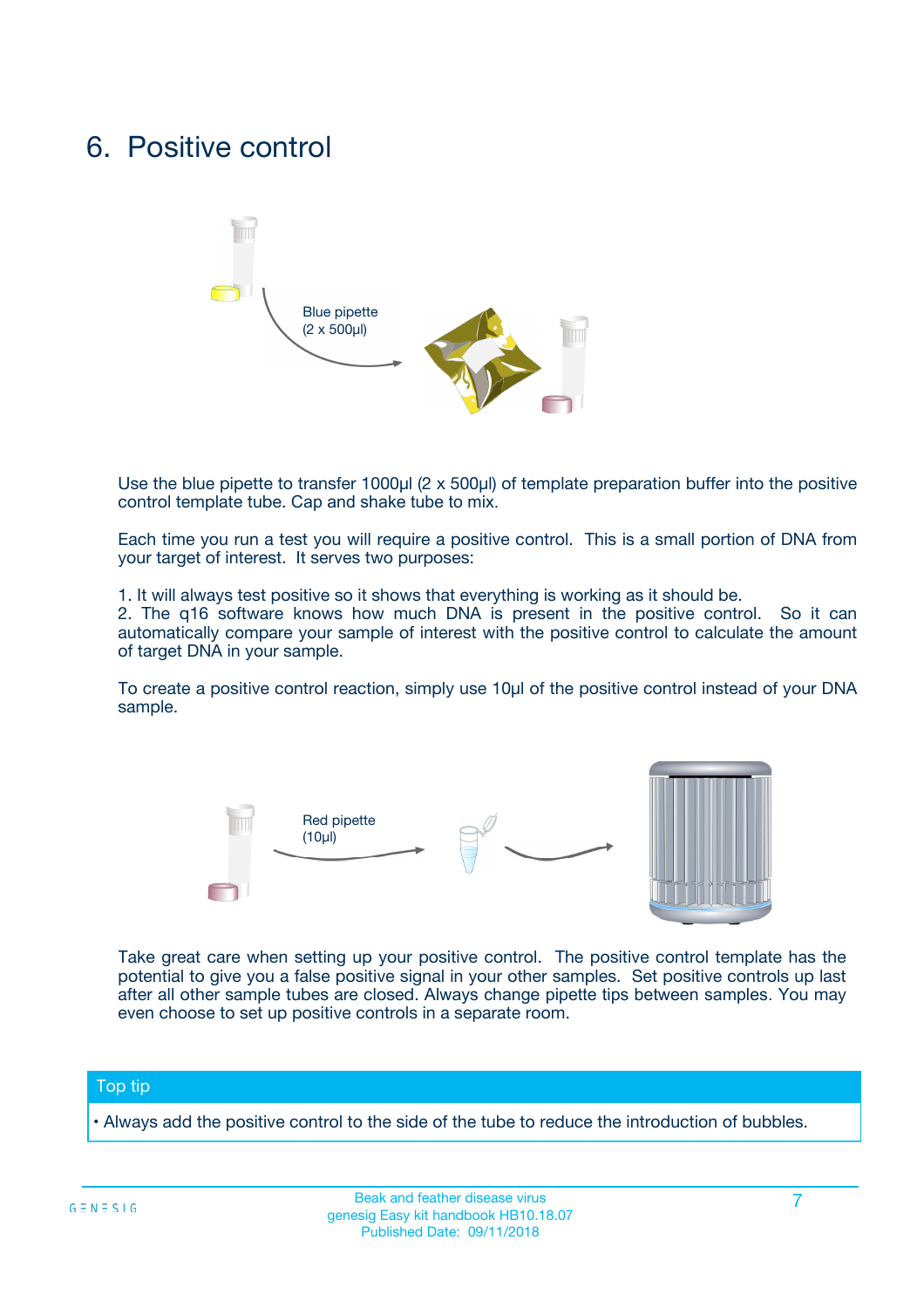## 6. Positive control



Use the blue pipette to transfer 1000µl (2 x 500µl) of template preparation buffer into the positive control template tube. Cap and shake tube to mix.

Each time you run a test you will require a positive control. This is a small portion of DNA from your target of interest. It serves two purposes:

1. It will always test positive so it shows that everything is working as it should be.

2. The q16 software knows how much DNA is present in the positive control. So it can automatically compare your sample of interest with the positive control to calculate the amount of target DNA in your sample.

To create a positive control reaction, simply use 10µl of the positive control instead of your DNA sample.



Take great care when setting up your positive control. The positive control template has the potential to give you a false positive signal in your other samples. Set positive controls up last after all other sample tubes are closed. Always change pipette tips between samples. You may even choose to set up positive controls in a separate room.

#### Top tip

**•** Always add the positive control to the side of the tube to reduce the introduction of bubbles.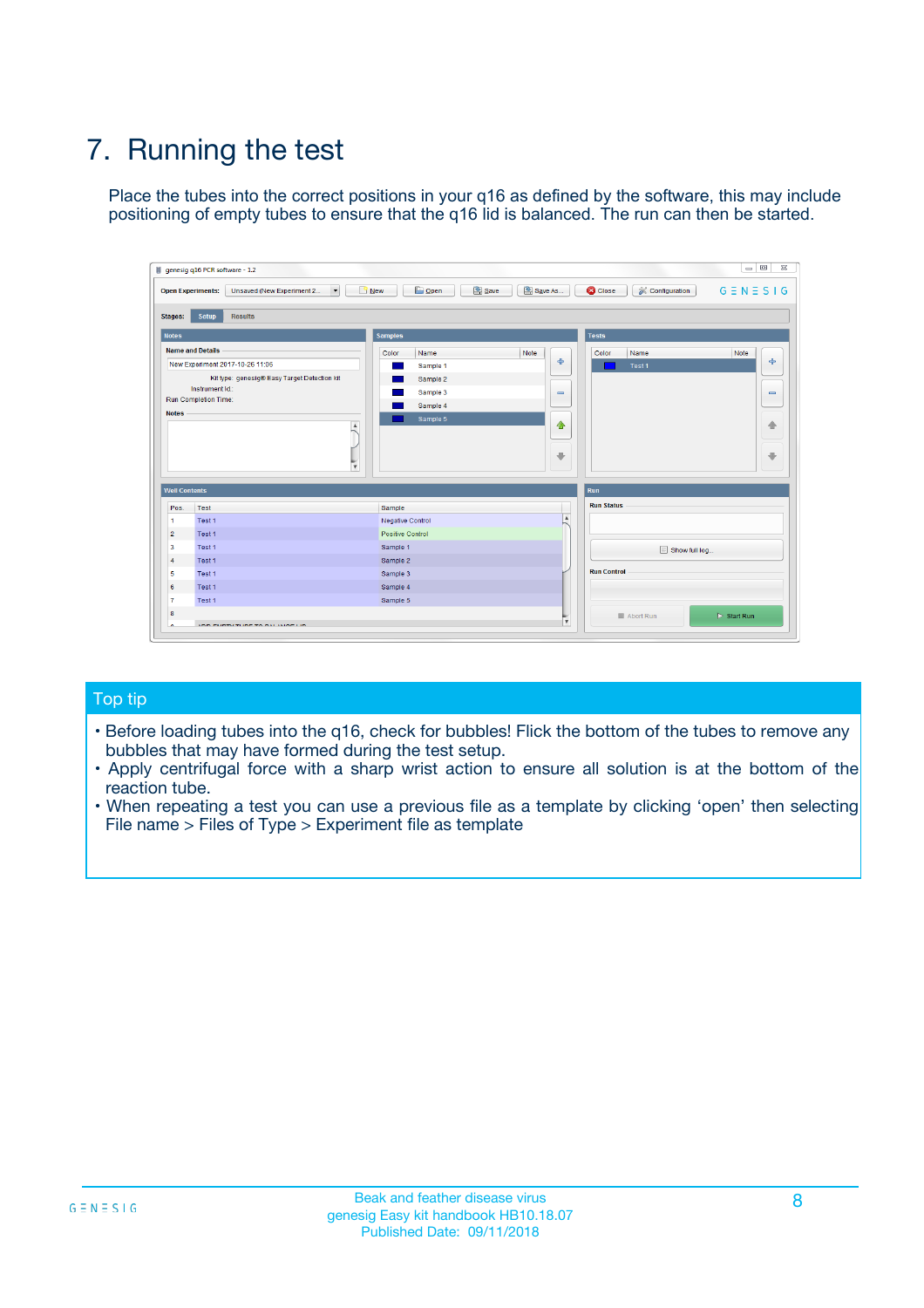# 7. Running the test

Place the tubes into the correct positions in your q16 as defined by the software, this may include positioning of empty tubes to ensure that the q16 lid is balanced. The run can then be started.

|                      | genesig q16 PCR software - 1.2                                               |                                   |                              |                                          | $\begin{array}{c c c c} \hline \multicolumn{3}{c }{\textbf{0}} & \multicolumn{3}{c }{\textbf{0}} \end{array}$<br>$\Sigma\!3$ |
|----------------------|------------------------------------------------------------------------------|-----------------------------------|------------------------------|------------------------------------------|------------------------------------------------------------------------------------------------------------------------------|
|                      | $\vert \cdot \vert$<br><b>Open Experiments:</b><br>Unsaved (New Experiment 2 | Open<br>Save<br>$\frac{1}{2}$ New | Save As                      | <b>C</b> Close<br><b>X</b> Configuration | $G \equiv N \equiv S \mid G$                                                                                                 |
| <b>Stages:</b>       | <b>Setup</b><br><b>Results</b>                                               |                                   |                              |                                          |                                                                                                                              |
| <b>Notes</b>         |                                                                              | <b>Samples</b>                    |                              | <b>Tests</b>                             |                                                                                                                              |
|                      | <b>Name and Details</b>                                                      | Color<br>Name                     | Note                         | Color<br>Name                            | Note                                                                                                                         |
|                      | New Experiment 2017-10-26 11:06                                              | Sample 1                          | ÷                            | Test 1                                   | ÷                                                                                                                            |
|                      | Kit type: genesig® Easy Target Detection kit                                 | Sample 2                          |                              |                                          |                                                                                                                              |
|                      | Instrument Id.:                                                              | Sample 3                          | $\qquad \qquad \blacksquare$ |                                          | $\qquad \qquad \blacksquare$                                                                                                 |
|                      | <b>Run Completion Time:</b>                                                  | Sample 4                          |                              |                                          |                                                                                                                              |
| <b>Notes</b>         |                                                                              | Sample 5                          |                              |                                          |                                                                                                                              |
|                      | <b>A</b>                                                                     |                                   | ♦                            |                                          | 4                                                                                                                            |
|                      |                                                                              |                                   |                              |                                          |                                                                                                                              |
|                      |                                                                              |                                   | ÷                            |                                          | ₩                                                                                                                            |
|                      | v                                                                            |                                   |                              |                                          |                                                                                                                              |
| <b>Well Contents</b> |                                                                              |                                   |                              | Run                                      |                                                                                                                              |
| Pos.                 | Test                                                                         | Sample                            |                              | <b>Run Status</b>                        |                                                                                                                              |
| $\mathbf{1}$         | Test 1                                                                       | Negative Control                  | $\blacktriangle$             |                                          |                                                                                                                              |
| $\overline{2}$       | Test 1                                                                       | <b>Positive Control</b>           |                              |                                          |                                                                                                                              |
| 3                    | Test 1                                                                       | Sample 1                          |                              | Show full log                            |                                                                                                                              |
| 4                    | Test 1                                                                       | Sample 2                          |                              |                                          |                                                                                                                              |
| 5                    | Test 1                                                                       | Sample 3                          |                              | <b>Run Control</b>                       |                                                                                                                              |
| 6                    | Test 1                                                                       | Sample 4                          |                              |                                          |                                                                                                                              |
| $\overline{7}$       | Test 1                                                                       | Sample 5                          |                              |                                          |                                                                                                                              |
| 8                    |                                                                              |                                   |                              | Abort Run                                | $\triangleright$ Start Run                                                                                                   |
|                      |                                                                              |                                   | $\boldsymbol{\mathrm{v}}$    |                                          |                                                                                                                              |

#### Top tip

- Before loading tubes into the q16, check for bubbles! Flick the bottom of the tubes to remove any bubbles that may have formed during the test setup.
- Apply centrifugal force with a sharp wrist action to ensure all solution is at the bottom of the reaction tube.
- When repeating a test you can use a previous file as a template by clicking 'open' then selecting File name > Files of Type > Experiment file as template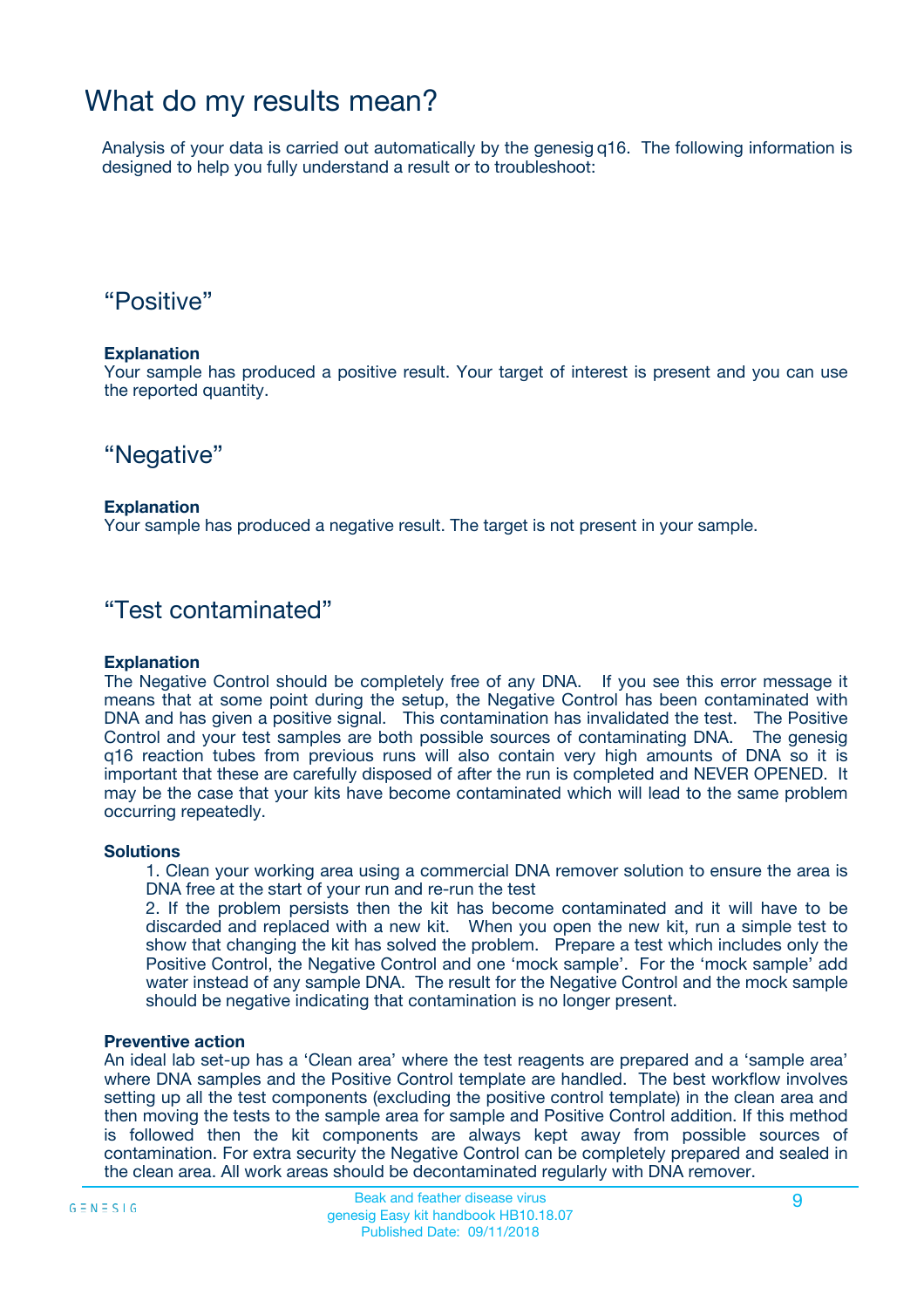## What do my results mean?

Analysis of your data is carried out automatically by the genesig q16. The following information is designed to help you fully understand a result or to troubleshoot:

### "Positive"

#### **Explanation**

Your sample has produced a positive result. Your target of interest is present and you can use the reported quantity.

"Negative"

#### **Explanation**

Your sample has produced a negative result. The target is not present in your sample.

### "Test contaminated"

#### **Explanation**

The Negative Control should be completely free of any DNA. If you see this error message it means that at some point during the setup, the Negative Control has been contaminated with DNA and has given a positive signal. This contamination has invalidated the test. The Positive Control and your test samples are both possible sources of contaminating DNA. The genesig q16 reaction tubes from previous runs will also contain very high amounts of DNA so it is important that these are carefully disposed of after the run is completed and NEVER OPENED. It may be the case that your kits have become contaminated which will lead to the same problem occurring repeatedly.

#### **Solutions**

1. Clean your working area using a commercial DNA remover solution to ensure the area is DNA free at the start of your run and re-run the test

2. If the problem persists then the kit has become contaminated and it will have to be discarded and replaced with a new kit. When you open the new kit, run a simple test to show that changing the kit has solved the problem. Prepare a test which includes only the Positive Control, the Negative Control and one 'mock sample'. For the 'mock sample' add water instead of any sample DNA. The result for the Negative Control and the mock sample should be negative indicating that contamination is no longer present.

#### **Preventive action**

An ideal lab set-up has a 'Clean area' where the test reagents are prepared and a 'sample area' where DNA samples and the Positive Control template are handled. The best workflow involves setting up all the test components (excluding the positive control template) in the clean area and then moving the tests to the sample area for sample and Positive Control addition. If this method is followed then the kit components are always kept away from possible sources of contamination. For extra security the Negative Control can be completely prepared and sealed in the clean area. All work areas should be decontaminated regularly with DNA remover.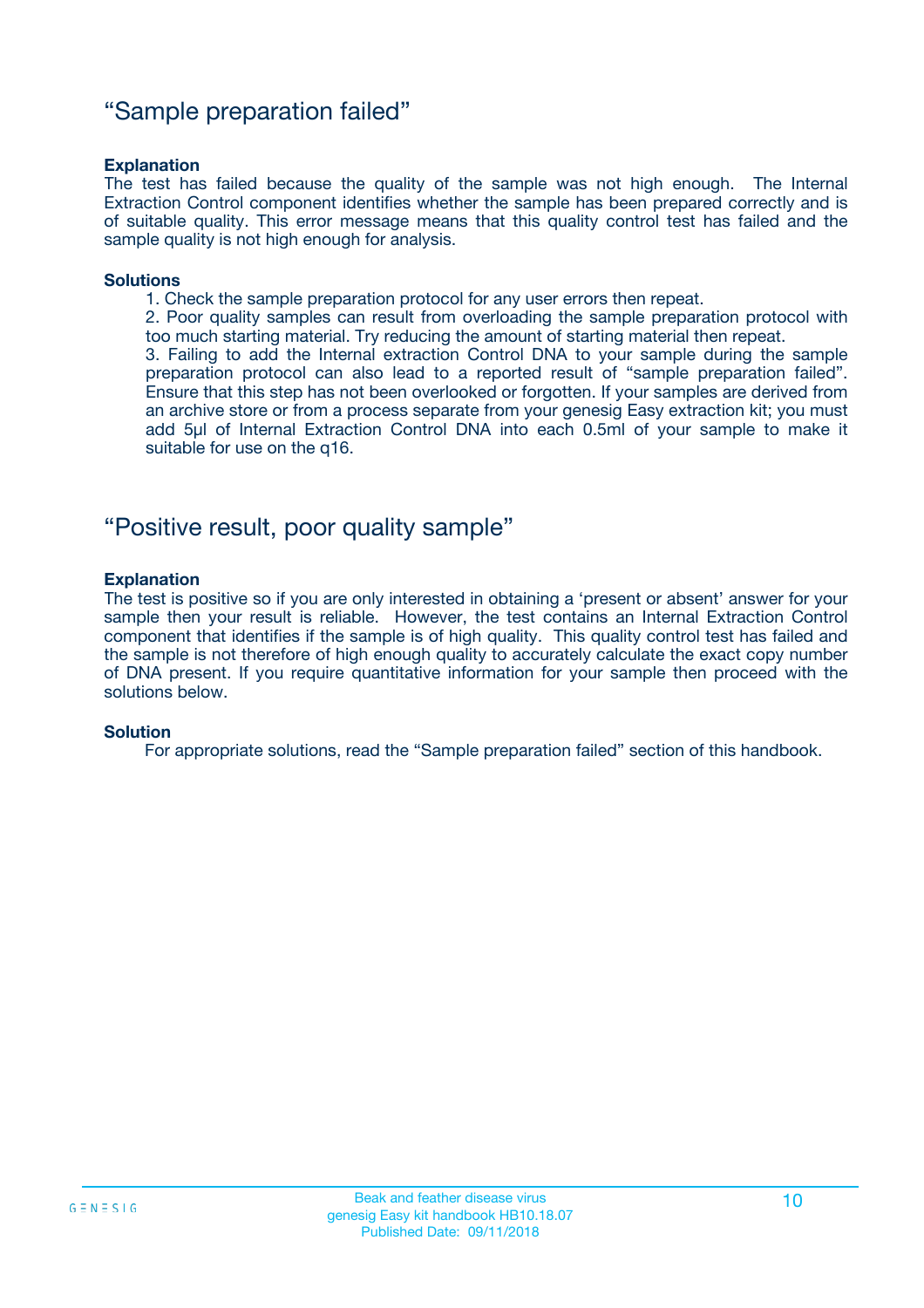### "Sample preparation failed"

#### **Explanation**

The test has failed because the quality of the sample was not high enough. The Internal Extraction Control component identifies whether the sample has been prepared correctly and is of suitable quality. This error message means that this quality control test has failed and the sample quality is not high enough for analysis.

#### **Solutions**

1. Check the sample preparation protocol for any user errors then repeat.

2. Poor quality samples can result from overloading the sample preparation protocol with too much starting material. Try reducing the amount of starting material then repeat.

3. Failing to add the Internal extraction Control DNA to your sample during the sample preparation protocol can also lead to a reported result of "sample preparation failed". Ensure that this step has not been overlooked or forgotten. If your samples are derived from an archive store or from a process separate from your genesig Easy extraction kit; you must add 5µl of Internal Extraction Control DNA into each 0.5ml of your sample to make it suitable for use on the q16.

### "Positive result, poor quality sample"

#### **Explanation**

The test is positive so if you are only interested in obtaining a 'present or absent' answer for your sample then your result is reliable. However, the test contains an Internal Extraction Control component that identifies if the sample is of high quality. This quality control test has failed and the sample is not therefore of high enough quality to accurately calculate the exact copy number of DNA present. If you require quantitative information for your sample then proceed with the solutions below.

#### **Solution**

For appropriate solutions, read the "Sample preparation failed" section of this handbook.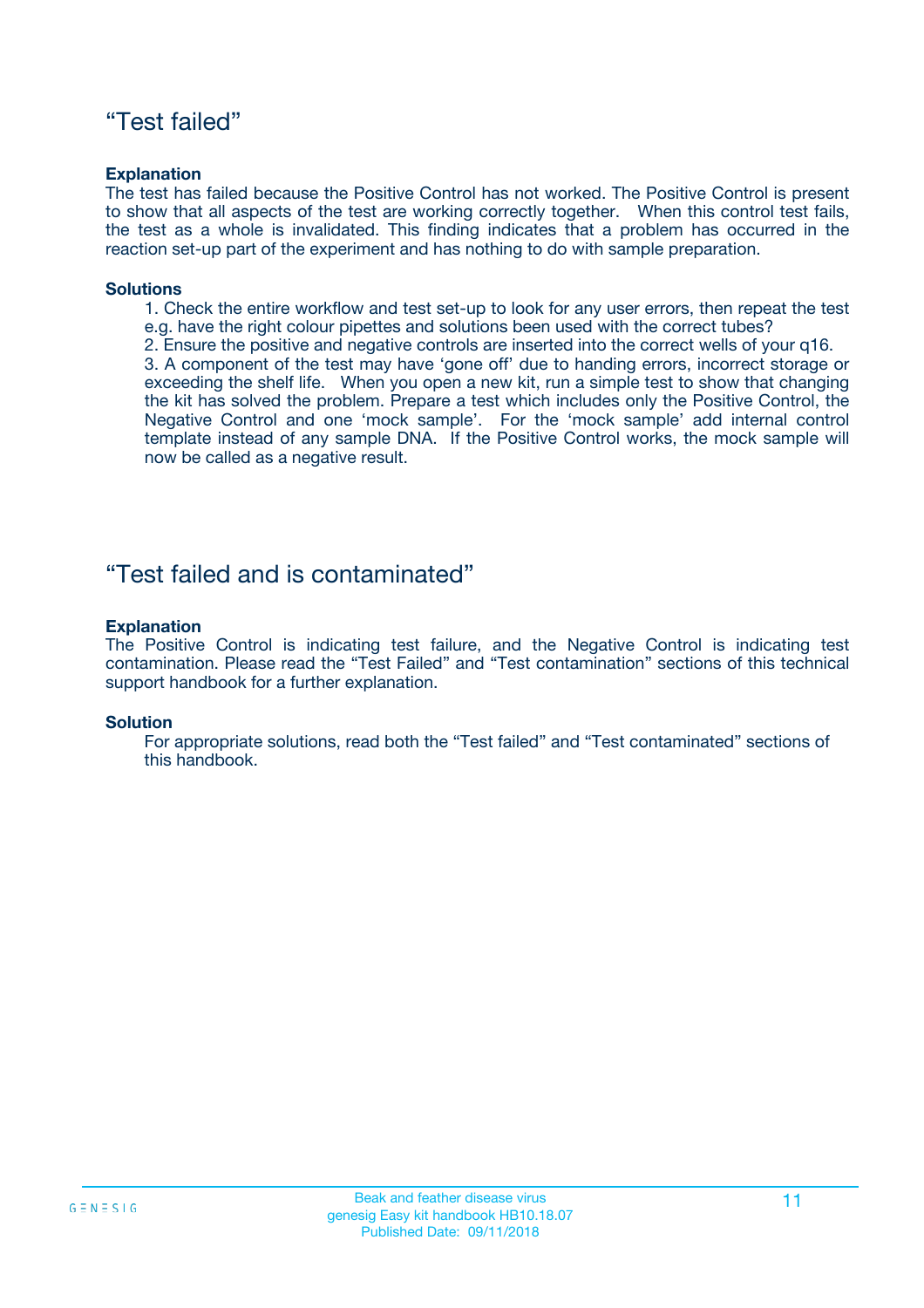### "Test failed"

#### **Explanation**

The test has failed because the Positive Control has not worked. The Positive Control is present to show that all aspects of the test are working correctly together. When this control test fails, the test as a whole is invalidated. This finding indicates that a problem has occurred in the reaction set-up part of the experiment and has nothing to do with sample preparation.

#### **Solutions**

- 1. Check the entire workflow and test set-up to look for any user errors, then repeat the test e.g. have the right colour pipettes and solutions been used with the correct tubes?
- 2. Ensure the positive and negative controls are inserted into the correct wells of your q16.

3. A component of the test may have 'gone off' due to handing errors, incorrect storage or exceeding the shelf life. When you open a new kit, run a simple test to show that changing the kit has solved the problem. Prepare a test which includes only the Positive Control, the Negative Control and one 'mock sample'. For the 'mock sample' add internal control template instead of any sample DNA. If the Positive Control works, the mock sample will now be called as a negative result.

### "Test failed and is contaminated"

#### **Explanation**

The Positive Control is indicating test failure, and the Negative Control is indicating test contamination. Please read the "Test Failed" and "Test contamination" sections of this technical support handbook for a further explanation.

#### **Solution**

For appropriate solutions, read both the "Test failed" and "Test contaminated" sections of this handbook.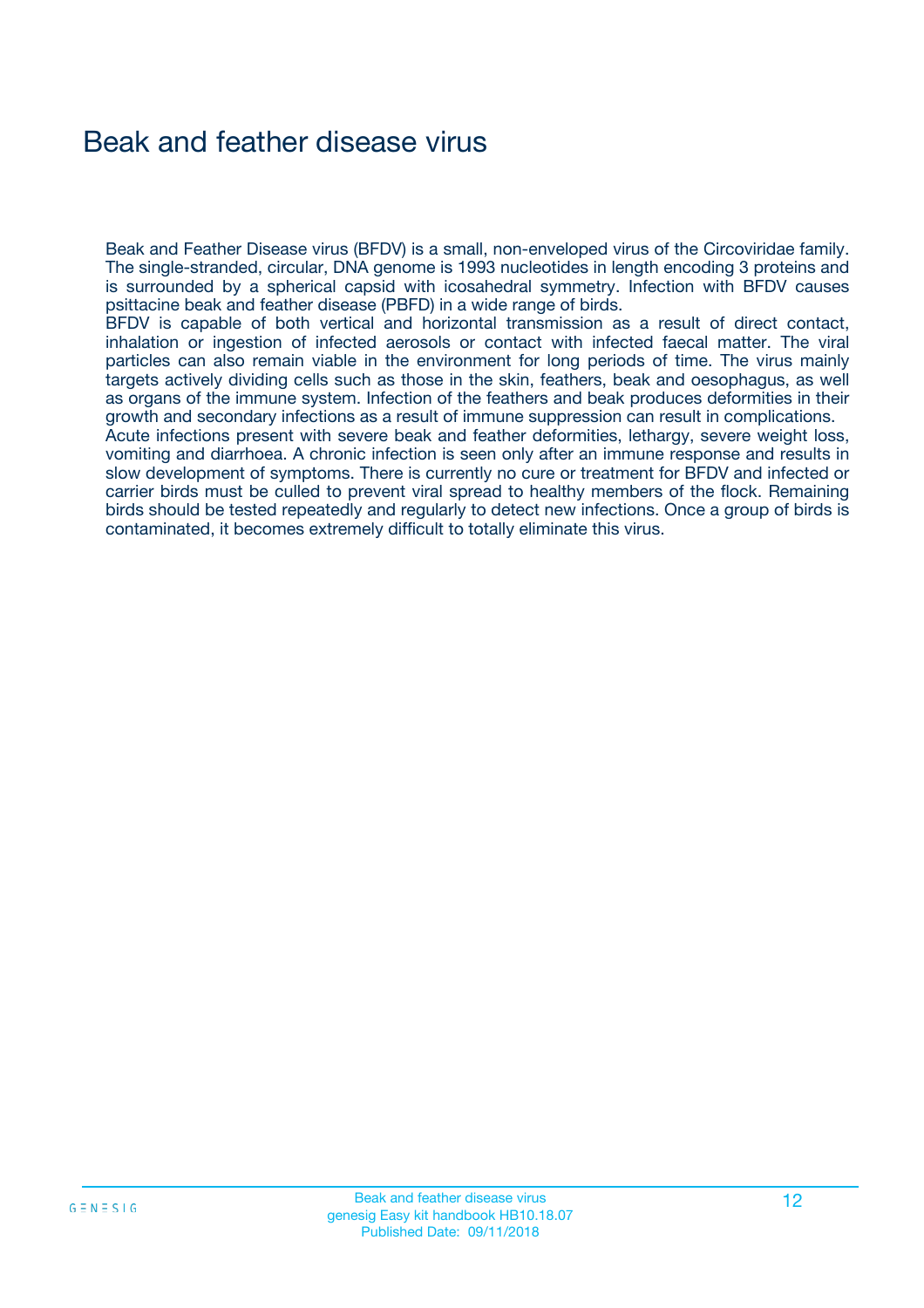## Beak and feather disease virus

Beak and Feather Disease virus (BFDV) is a small, non-enveloped virus of the Circoviridae family. The single-stranded, circular, DNA genome is 1993 nucleotides in length encoding 3 proteins and is surrounded by a spherical capsid with icosahedral symmetry. Infection with BFDV causes psittacine beak and feather disease (PBFD) in a wide range of birds.

BFDV is capable of both vertical and horizontal transmission as a result of direct contact, inhalation or ingestion of infected aerosols or contact with infected faecal matter. The viral particles can also remain viable in the environment for long periods of time. The virus mainly targets actively dividing cells such as those in the skin, feathers, beak and oesophagus, as well as organs of the immune system. Infection of the feathers and beak produces deformities in their growth and secondary infections as a result of immune suppression can result in complications.

Acute infections present with severe beak and feather deformities, lethargy, severe weight loss, vomiting and diarrhoea. A chronic infection is seen only after an immune response and results in slow development of symptoms. There is currently no cure or treatment for BFDV and infected or carrier birds must be culled to prevent viral spread to healthy members of the flock. Remaining birds should be tested repeatedly and regularly to detect new infections. Once a group of birds is contaminated, it becomes extremely difficult to totally eliminate this virus.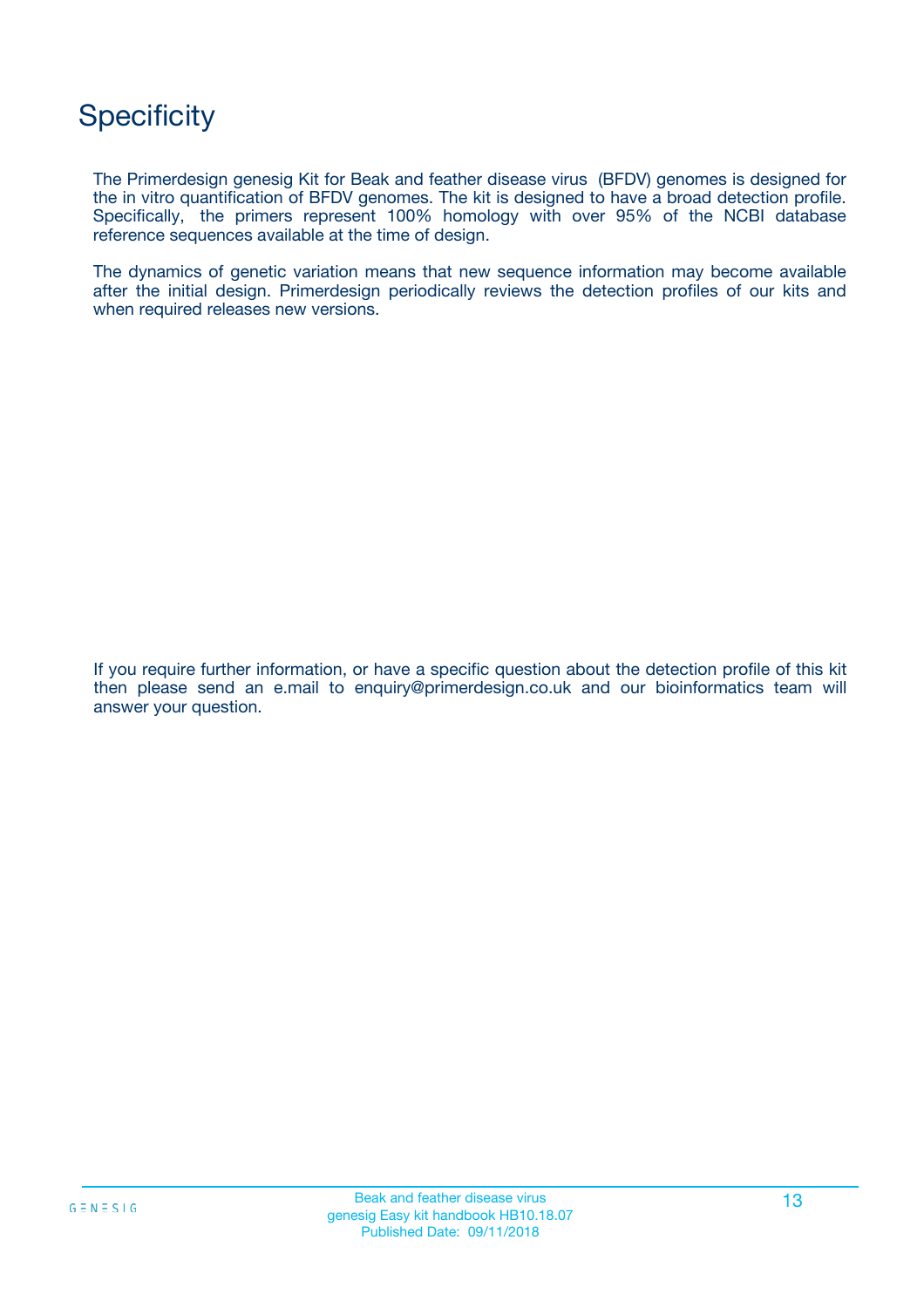## **Specificity**

The Primerdesign genesig Kit for Beak and feather disease virus (BFDV) genomes is designed for the in vitro quantification of BFDV genomes. The kit is designed to have a broad detection profile. Specifically, the primers represent 100% homology with over 95% of the NCBI database reference sequences available at the time of design.

The dynamics of genetic variation means that new sequence information may become available after the initial design. Primerdesign periodically reviews the detection profiles of our kits and when required releases new versions.

If you require further information, or have a specific question about the detection profile of this kit then please send an e.mail to enquiry@primerdesign.co.uk and our bioinformatics team will answer your question.